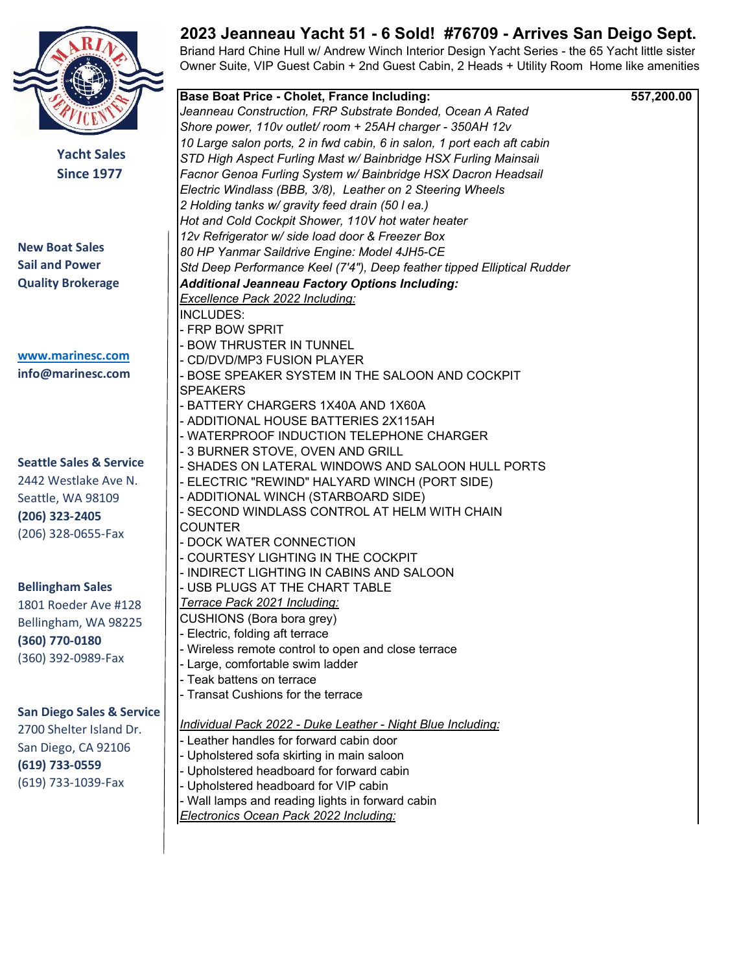

**Yacht Sales Since 1977** 

**New Boat Sales Sail and Power Quality Brokerage** 

www.marinesc.com info@marinesc.com

**Seattle Sales & Service** 

2442 Westlake Ave N. Seattle, WA 98109 **(206) 323-2405** (206) 328-0655-Fax

**Bellingham Sales** 

1801 Roeder Ave #128 Bellingham, WA 98225  $(360)$  770-0180 (360) 392-0989-Fax

**San Diego Sales & Service** 

2700 Shelter Island Dr. San Diego, CA 92106 **(619) 733-0559** (619) 733-1039-Fax

## **2023 Jeanneau Yacht 51 - 6 Sold! #76709 - Arrives San Deigo Sept.**

Briand Hard Chine Hull w/ Andrew Winch Interior Design Yacht Series - the 65 Yacht little sister Owner Suite, VIP Guest Cabin + 2nd Guest Cabin, 2 Heads + Utility Room Home like amenities!

|           | <b>Base Boat Price - Cholet, France Including:</b>                      | 557,200.00 |
|-----------|-------------------------------------------------------------------------|------------|
|           | Jeanneau Construction, FRP Substrate Bonded, Ocean A Rated              |            |
|           | Shore power, 110v outlet/room + 25AH charger - 350AH 12v                |            |
|           | 10 Large salon ports, 2 in fwd cabin, 6 in salon, 1 port each aft cabin |            |
| ales      | STD High Aspect Furling Mast w/ Bainbridge HSX Furling Mainsail         |            |
| 177       | Facnor Genoa Furling System w/ Bainbridge HSX Dacron Headsail           |            |
|           | Electric Windlass (BBB, 3/8), Leather on 2 Steering Wheels              |            |
|           | 2 Holding tanks w/ gravity feed drain (50 l ea.)                        |            |
|           | Hot and Cold Cockpit Shower, 110V hot water heater                      |            |
|           | 12v Refrigerator w/ side load door & Freezer Box                        |            |
|           |                                                                         |            |
|           | 80 HP Yanmar Saildrive Engine: Model 4JH5-CE                            |            |
|           | Std Deep Performance Keel (7'4"), Deep feather tipped Elliptical Rudder |            |
| ge        | <b>Additional Jeanneau Factory Options Including:</b>                   |            |
|           | <b>Excellence Pack 2022 Including:</b>                                  |            |
|           | <b>INCLUDES:</b>                                                        |            |
|           | - FRP BOW SPRIT                                                         |            |
|           | - BOW THRUSTER IN TUNNEL                                                |            |
| com       | - CD/DVD/MP3 FUSION PLAYER                                              |            |
| .com      | - BOSE SPEAKER SYSTEM IN THE SALOON AND COCKPIT                         |            |
|           | <b>SPEAKERS</b>                                                         |            |
|           | - BATTERY CHARGERS 1X40A AND 1X60A                                      |            |
|           | - ADDITIONAL HOUSE BATTERIES 2X115AH                                    |            |
|           | - WATERPROOF INDUCTION TELEPHONE CHARGER                                |            |
|           | - 3 BURNER STOVE, OVEN AND GRILL                                        |            |
| Service   | - SHADES ON LATERAL WINDOWS AND SALOON HULL PORTS                       |            |
| Ave N.    | - ELECTRIC "REWIND" HALYARD WINCH (PORT SIDE)                           |            |
| .09       | - ADDITIONAL WINCH (STARBOARD SIDE)                                     |            |
|           | - SECOND WINDLASS CONTROL AT HELM WITH CHAIN                            |            |
| Fax       | <b>COUNTER</b>                                                          |            |
|           | - DOCK WATER CONNECTION                                                 |            |
|           | - COURTESY LIGHTING IN THE COCKPIT                                      |            |
|           | - INDIRECT LIGHTING IN CABINS AND SALOON                                |            |
| .s        | - USB PLUGS AT THE CHART TABLE                                          |            |
| e #128    | Terrace Pack 2021 Including:                                            |            |
| 98225     | CUSHIONS (Bora bora grey)                                               |            |
|           | - Electric, folding aft terrace                                         |            |
|           | - Wireless remote control to open and close terrace                     |            |
| Fax       | - Large, comfortable swim ladder                                        |            |
|           | - Teak battens on terrace                                               |            |
|           | - Transat Cushions for the terrace                                      |            |
| & Service |                                                                         |            |
| and Dr.   | <b>Individual Pack 2022 - Duke Leather - Night Blue Including:</b>      |            |
| 2106      | - Leather handles for forward cabin door                                |            |
|           | - Upholstered sofa skirting in main saloon                              |            |
|           | - Upholstered headboard for forward cabin                               |            |
| Fax       | - Upholstered headboard for VIP cabin                                   |            |
|           | - Wall lamps and reading lights in forward cabin                        |            |
|           | <b>Electronics Ocean Pack 2022 Including:</b>                           |            |
|           |                                                                         |            |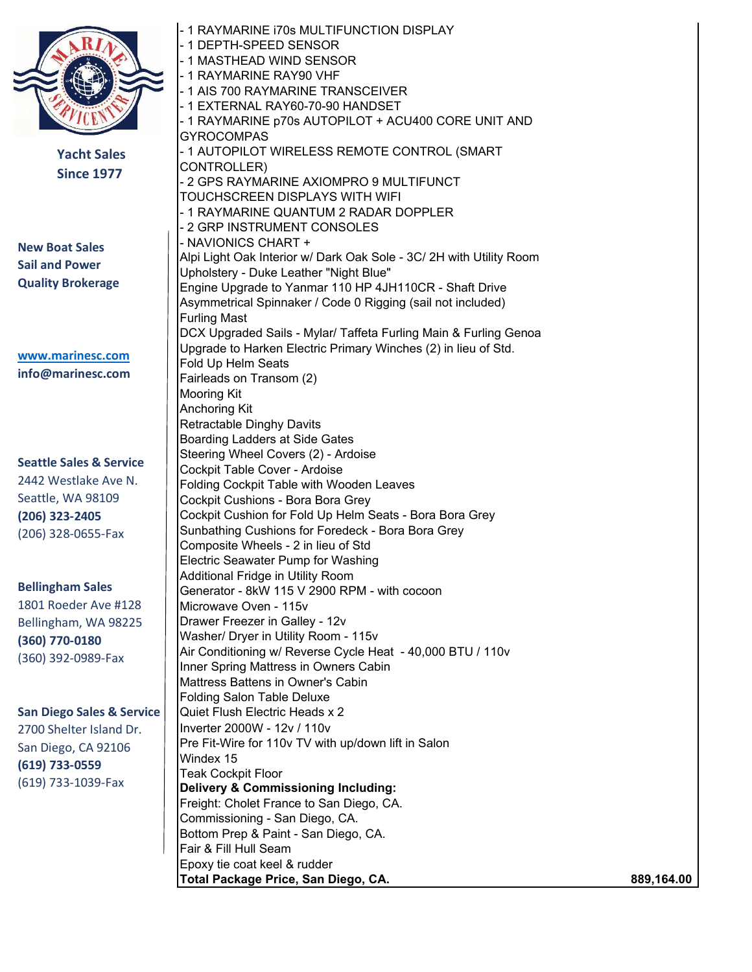